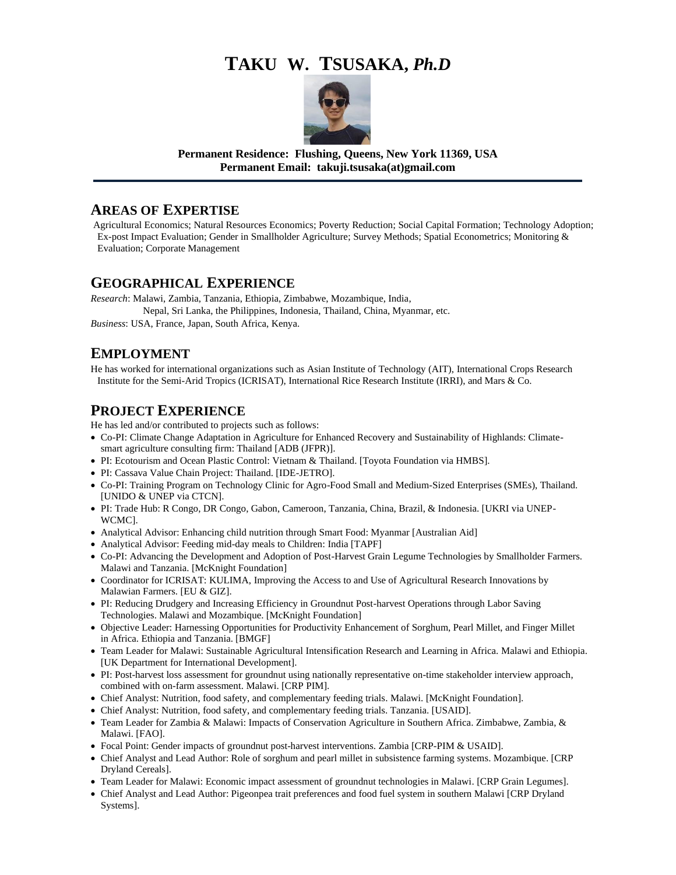# **TAKU W. TSUSAKA,** *Ph.D*



**Permanent Residence: Flushing, Queens, New York 11369, USA Permanent Email: takuji.tsusaka(at)gmail.com**

#### **AREAS OF EXPERTISE**

Agricultural Economics; Natural Resources Economics; Poverty Reduction; Social Capital Formation; Technology Adoption; Ex-post Impact Evaluation; Gender in Smallholder Agriculture; Survey Methods; Spatial Econometrics; Monitoring & Evaluation; Corporate Management

## **GEOGRAPHICAL EXPERIENCE**

*Research*: Malawi, Zambia, Tanzania, Ethiopia, Zimbabwe, Mozambique, India, Nepal, Sri Lanka, the Philippines, Indonesia, Thailand, China, Myanmar, etc. *Business*: USA, France, Japan, South Africa, Kenya.

## **EMPLOYMENT**

He has worked for international organizations such as Asian Institute of Technology (AIT), International Crops Research Institute for the Semi-Arid Tropics (ICRISAT), International Rice Research Institute (IRRI), and Mars & Co.

## **PROJECT EXPERIENCE**

He has led and/or contributed to projects such as follows:

- Co-PI: Climate Change Adaptation in Agriculture for Enhanced Recovery and Sustainability of Highlands: Climatesmart agriculture consulting firm: Thailand [ADB (JFPR)].
- PI: Ecotourism and Ocean Plastic Control: Vietnam & Thailand. [Toyota Foundation via HMBS].
- PI: Cassava Value Chain Project: Thailand. [IDE-JETRO].
- Co-PI: Training Program on Technology Clinic for Agro-Food Small and Medium-Sized Enterprises (SMEs), Thailand. [UNIDO & UNEP via CTCN].
- PI: Trade Hub: R Congo, DR Congo, Gabon, Cameroon, Tanzania, China, Brazil, & Indonesia. [UKRI via UNEP-WCMC].
- Analytical Advisor: Enhancing child nutrition through Smart Food: Myanmar [Australian Aid]
- Analytical Advisor: Feeding mid-day meals to Children: India [TAPF]
- Co-PI: Advancing the Development and Adoption of Post-Harvest Grain Legume Technologies by Smallholder Farmers. Malawi and Tanzania. [McKnight Foundation]
- Coordinator for ICRISAT: KULIMA, Improving the Access to and Use of Agricultural Research Innovations by Malawian Farmers. [EU & GIZ].
- PI: Reducing Drudgery and Increasing Efficiency in Groundnut Post-harvest Operations through Labor Saving Technologies. Malawi and Mozambique. [McKnight Foundation]
- Objective Leader: Harnessing Opportunities for Productivity Enhancement of Sorghum, Pearl Millet, and Finger Millet in Africa. Ethiopia and Tanzania. [BMGF]
- Team Leader for Malawi: Sustainable Agricultural Intensification Research and Learning in Africa. Malawi and Ethiopia. [UK Department for International Development].
- PI: Post-harvest loss assessment for groundnut using nationally representative on-time stakeholder interview approach, combined with on-farm assessment. Malawi. [CRP PIM].
- Chief Analyst: Nutrition, food safety, and complementary feeding trials. Malawi. [McKnight Foundation].
- Chief Analyst: Nutrition, food safety, and complementary feeding trials. Tanzania. [USAID].
- Team Leader for Zambia & Malawi: Impacts of Conservation Agriculture in Southern Africa. Zimbabwe, Zambia, & Malawi. [FAO].
- Focal Point: Gender impacts of groundnut post-harvest interventions. Zambia [CRP-PIM & USAID].
- Chief Analyst and Lead Author: Role of sorghum and pearl millet in subsistence farming systems. Mozambique. [CRP Dryland Cereals].
- Team Leader for Malawi: Economic impact assessment of groundnut technologies in Malawi. [CRP Grain Legumes].
- Chief Analyst and Lead Author: Pigeonpea trait preferences and food fuel system in southern Malawi [CRP Dryland Systems].